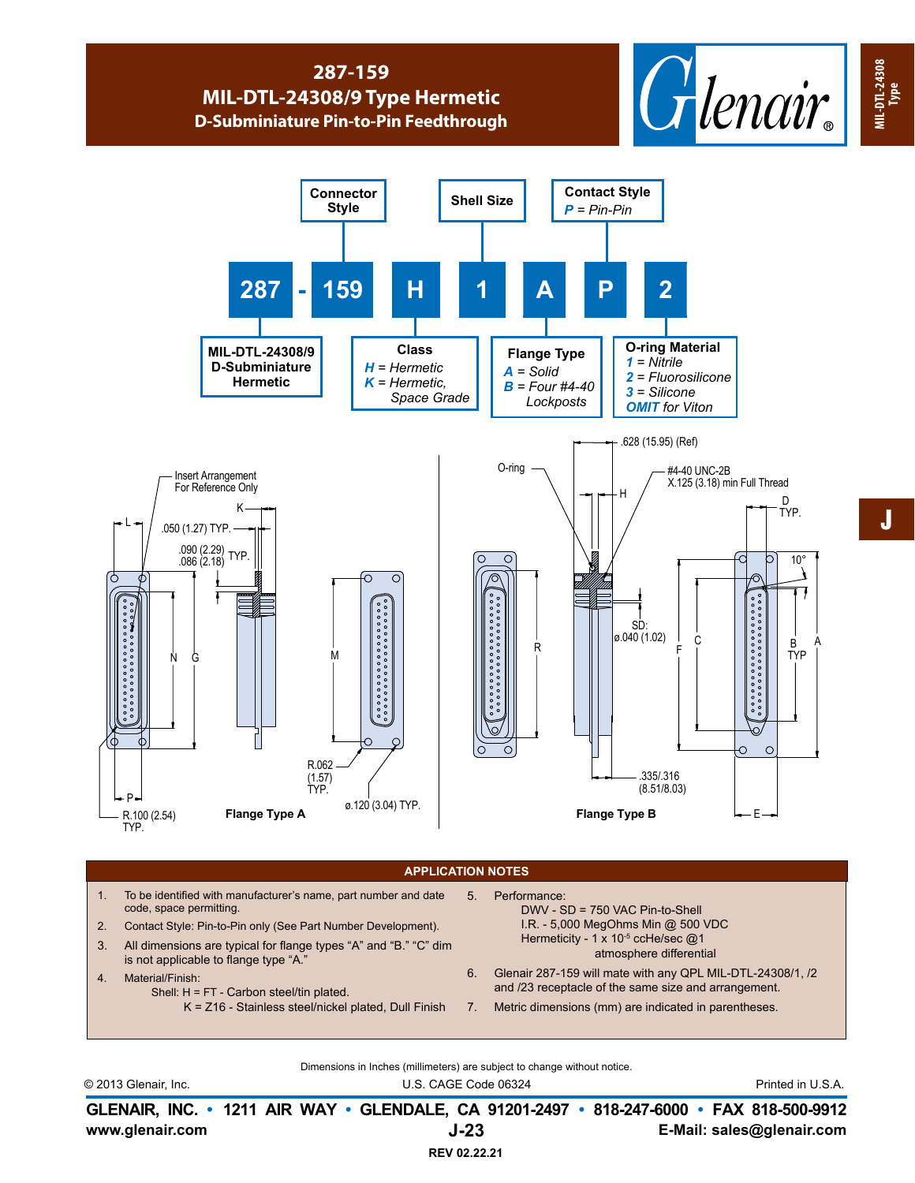## **287-159 MIL-DTL-24308/9 Type Hermetic D-Subminiature Pin-to-Pin Feedthrough**





## **APPLICATION NOTES**

- 1. To be identified with manufacturer's name, part number and date code, space permitting.
- 2. Contact Style: Pin-to-Pin only (See Part Number Development).
- 3. All dimensions are typical for flange types "A" and "B." "C" dim is not applicable to flange type "A."
- 4. Material/Finish:
	- Shell: H = FT Carbon steel/tin plated.
		- K = Z16 Stainless steel/nickel plated, Dull Finish
- 5. Performance: DWV - SD = 750 VAC Pin-to-Shell I.R. - 5,000 MegOhms Min @ 500 VDC Hermeticity - 1 x 10<sup>-5</sup> ccHe/sec @1 atmosphere differential
- 6. Glenair 287-159 will mate with any QPL MIL-DTL-24308/1, /2 and /23 receptacle of the same size and arrangement.
- 7. Metric dimensions (mm) are indicated in parentheses.

Dimensions in Inches (millimeters) are subject to change without notice.

© 2013 Glenair, Inc. U.S. CAGE Code 06324 Printed in U.S.A.

**www.glenair.com E-Mail: sales@glenair.com GLENAIR, INC. • 1211 AIR WAY • GLENDALE, CA 91201-2497 • 818-247-6000 • FAX 818-500-9912 J-23**

J

**MIL-DTL-24308**

**MIL-DTL-24308** MIL-DTL-24308<br>Type

**REV 02.22.21**